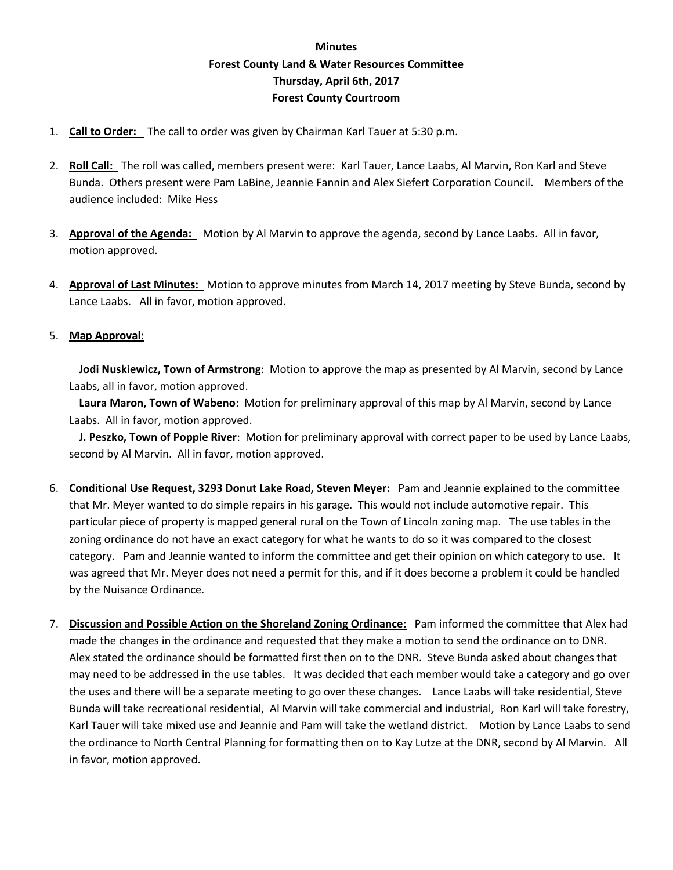## **Minutes Forest County Land & Water Resources Committee Thursday, April 6th, 2017 Forest County Courtroom**

- 1. **Call to Order:** The call to order was given by Chairman Karl Tauer at 5:30 p.m.
- 2. **Roll Call:** The roll was called, members present were: Karl Tauer, Lance Laabs, Al Marvin, Ron Karl and Steve Bunda. Others present were Pam LaBine, Jeannie Fannin and Alex Siefert Corporation Council. Members of the audience included: Mike Hess
- 3. **Approval of the Agenda:** Motion by Al Marvin to approve the agenda, second by Lance Laabs. All in favor, motion approved.
- 4. **Approval of Last Minutes:** Motion to approve minutes from March 14, 2017 meeting by Steve Bunda, second by Lance Laabs. All in favor, motion approved.

## 5. **Map Approval:**

**Jodi Nuskiewicz, Town of Armstrong**: Motion to approve the map as presented by Al Marvin, second by Lance Laabs, all in favor, motion approved.

**Laura Maron, Town of Wabeno**: Motion for preliminary approval of this map by Al Marvin, second by Lance Laabs. All in favor, motion approved.

**J. Peszko, Town of Popple River**: Motion for preliminary approval with correct paper to be used by Lance Laabs, second by Al Marvin. All in favor, motion approved.

- 6. **Conditional Use Request, 3293 Donut Lake Road, Steven Meyer:** Pam and Jeannie explained to the committee that Mr. Meyer wanted to do simple repairs in his garage. This would not include automotive repair. This particular piece of property is mapped general rural on the Town of Lincoln zoning map. The use tables in the zoning ordinance do not have an exact category for what he wants to do so it was compared to the closest category. Pam and Jeannie wanted to inform the committee and get their opinion on which category to use. It was agreed that Mr. Meyer does not need a permit for this, and if it does become a problem it could be handled by the Nuisance Ordinance.
- 7. **Discussion and Possible Action on the Shoreland Zoning Ordinance:** Pam informed the committee that Alex had made the changes in the ordinance and requested that they make a motion to send the ordinance on to DNR. Alex stated the ordinance should be formatted first then on to the DNR. Steve Bunda asked about changes that may need to be addressed in the use tables. It was decided that each member would take a category and go over the uses and there will be a separate meeting to go over these changes. Lance Laabs will take residential, Steve Bunda will take recreational residential, Al Marvin will take commercial and industrial, Ron Karl will take forestry, Karl Tauer will take mixed use and Jeannie and Pam will take the wetland district. Motion by Lance Laabs to send the ordinance to North Central Planning for formatting then on to Kay Lutze at the DNR, second by Al Marvin. All in favor, motion approved.